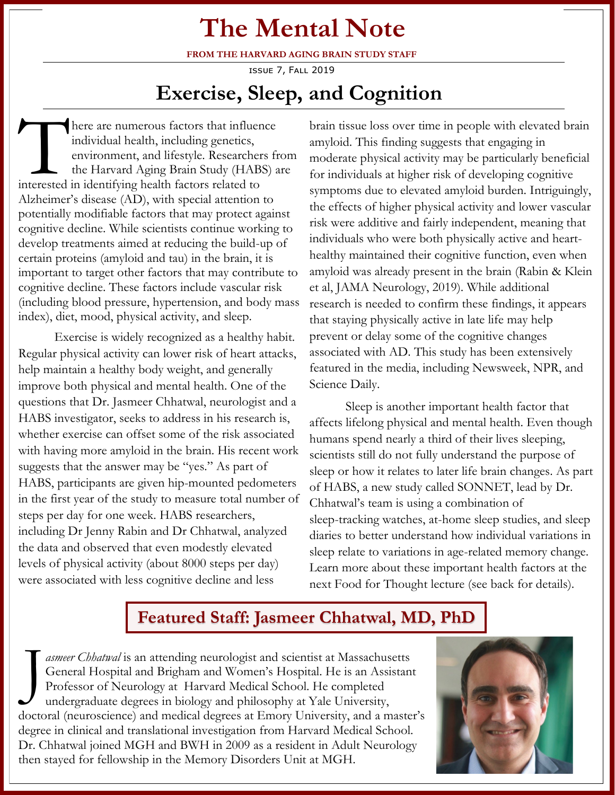# **The Mental Note**

**FROM THE HARVARD AGING BRAIN STUDY STAFF**

issue 7, Fall 2019

# **Exercise, Sleep, and Cognition**

There are numerous factors that influer individual health, including genetics, environment, and lifestyle. Researcher the Harvard Aging Brain Study (HAB) interested in identifying health factors related to here are numerous factors that influence individual health, including genetics, environment, and lifestyle. Researchers from the Harvard Aging Brain Study (HABS) are Alzheimer's disease (AD), with special attention to potentially modifiable factors that may protect against cognitive decline. While scientists continue working to develop treatments aimed at reducing the build-up of certain proteins (amyloid and tau) in the brain, it is important to target other factors that may contribute to cognitive decline. These factors include vascular risk (including blood pressure, hypertension, and body mass index), diet, mood, physical activity, and sleep.

Exercise is widely recognized as a healthy habit. Regular physical activity can lower risk of heart attacks, help maintain a healthy body weight, and generally improve both physical and mental health. One of the questions that Dr. Jasmeer Chhatwal, neurologist and a HABS investigator, seeks to address in his research is, whether exercise can offset some of the risk associated with having more amyloid in the brain. His recent work suggests that the answer may be "yes." As part of HABS, participants are given hip-mounted pedometers in the first year of the study to measure total number of steps per day for one week. HABS researchers, including Dr Jenny Rabin and Dr Chhatwal, analyzed the data and observed that even modestly elevated levels of physical activity (about 8000 steps per day) were associated with less cognitive decline and less

brain tissue loss over time in people with elevated brain amyloid. This finding suggests that engaging in moderate physical activity may be particularly beneficial for individuals at higher risk of developing cognitive symptoms due to elevated amyloid burden. Intriguingly, the effects of higher physical activity and lower vascular risk were additive and fairly independent, meaning that individuals who were both physically active and hearthealthy maintained their cognitive function, even when amyloid was already present in the brain (Rabin & Klein et al, JAMA Neurology, 2019). While additional research is needed to confirm these findings, it appears that staying physically active in late life may help prevent or delay some of the cognitive changes associated with AD. This study has been extensively featured in the media, including Newsweek, NPR, and Science Daily.

Sleep is another important health factor that affects lifelong physical and mental health. Even though humans spend nearly a third of their lives sleeping, scientists still do not fully understand the purpose of sleep or how it relates to later life brain changes. As part of HABS, a new study called SONNET, lead by Dr. Chhatwal's team is using a combination of sleep-tracking watches, at-home sleep studies, and sleep diaries to better understand how individual variations in sleep relate to variations in age-related memory change. Learn more about these important health factors at the next Food for Thought lecture (see back for details).

#### **Featured Staff: Jasmeer Chhatwal, MD, PhD**

J *asmeer Chhatwal* is an attending neurologist and scientist at Massachusetts General Hospital and Brigham and Women's Hospital. He is an Assistant Professor of Neurology at Harvard Medical School. He completed undergraduate degrees in biology and philosophy at Yale University, doctoral (neuroscience) and medical degrees at Emory University, and a master's degree in clinical and translational investigation from Harvard Medical School. Dr. Chhatwal joined MGH and BWH in 2009 as a resident in Adult Neurology then stayed for fellowship in the Memory Disorders Unit at MGH.